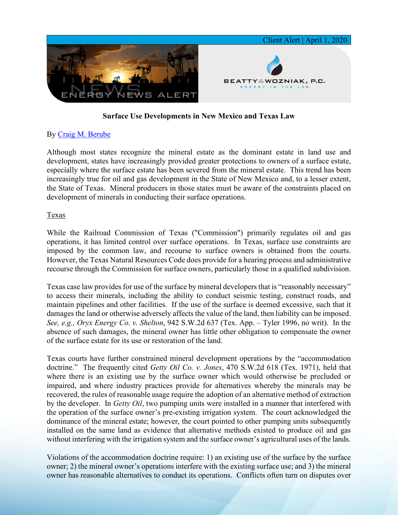

## **Surface Use Developments in New Mexico and Texas Law**

## By [Craig M. Berube](https://www.bwenergylaw.com/craig-berube)

Although most states recognize the mineral estate as the dominant estate in land use and development, states have increasingly provided greater protections to owners of a surface estate, especially where the surface estate has been severed from the mineral estate. This trend has been increasingly true for oil and gas development in the State of New Mexico and, to a lesser extent, the State of Texas. Mineral producers in those states must be aware of the constraints placed on development of minerals in conducting their surface operations.

## Texas

While the Railroad Commission of Texas ("Commission") primarily regulates oil and gas operations, it has limited control over surface operations. In Texas, surface use constraints are imposed by the common law, and recourse to surface owners is obtained from the courts. However, the Texas Natural Resources Code does provide for a hearing process and administrative recourse through the Commission for surface owners, particularly those in a qualified subdivision.

Texas case law provides for use of the surface by mineral developers that is "reasonably necessary" to access their minerals, including the ability to conduct seismic testing, construct roads, and maintain pipelines and other facilities. If the use of the surface is deemed excessive, such that it damages the land or otherwise adversely affects the value of the land, then liability can be imposed. *See, e.g., Oryx Energy Co. v. Shelton*, 942 S.W.2d 637 (Tex. App. – Tyler 1996, no writ). In the absence of such damages, the mineral owner has little other obligation to compensate the owner of the surface estate for its use or restoration of the land.

Texas courts have further constrained mineral development operations by the "accommodation doctrine." The frequently cited *Getty Oil Co. v. Jones*, 470 S.W.2d 618 (Tex. 1971), held that where there is an existing use by the surface owner which would otherwise be precluded or impaired, and where industry practices provide for alternatives whereby the minerals may be recovered, the rules of reasonable usage require the adoption of an alternative method of extraction by the developer. In *Getty Oil*, two pumping units were installed in a manner that interfered with the operation of the surface owner's pre-existing irrigation system. The court acknowledged the dominance of the mineral estate; however, the court pointed to other pumping units subsequently installed on the same land as evidence that alternative methods existed to produce oil and gas without interfering with the irrigation system and the surface owner's agricultural uses of the lands.

Violations of the accommodation doctrine require: 1) an existing use of the surface by the surface owner; 2) the mineral owner's operations interfere with the existing surface use; and 3) the mineral owner has reasonable alternatives to conduct its operations. Conflicts often turn on disputes over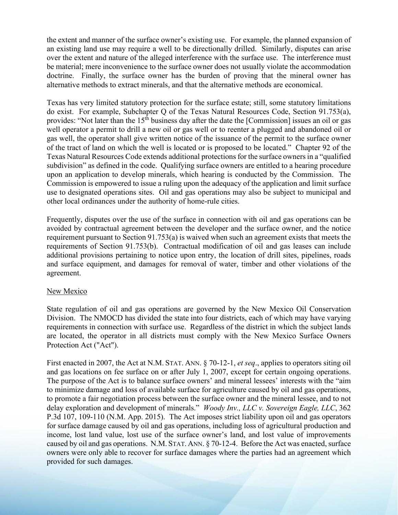the extent and manner of the surface owner's existing use. For example, the planned expansion of an existing land use may require a well to be directionally drilled. Similarly, disputes can arise over the extent and nature of the alleged interference with the surface use. The interference must be material; mere inconvenience to the surface owner does not usually violate the accommodation doctrine. Finally, the surface owner has the burden of proving that the mineral owner has alternative methods to extract minerals, and that the alternative methods are economical.

Texas has very limited statutory protection for the surface estate; still, some statutory limitations do exist. For example, Subchapter Q of the Texas Natural Resources Code, Section 91.753(a), provides: "Not later than the  $15<sup>th</sup>$  business day after the date the [Commission] issues an oil or gas well operator a permit to drill a new oil or gas well or to reenter a plugged and abandoned oil or gas well, the operator shall give written notice of the issuance of the permit to the surface owner of the tract of land on which the well is located or is proposed to be located." Chapter 92 of the Texas Natural Resources Code extends additional protections for the surface owners in a "qualified subdivision" as defined in the code. Qualifying surface owners are entitled to a hearing procedure upon an application to develop minerals, which hearing is conducted by the Commission. The Commission is empowered to issue a ruling upon the adequacy of the application and limit surface use to designated operations sites. Oil and gas operations may also be subject to municipal and other local ordinances under the authority of home-rule cities.

Frequently, disputes over the use of the surface in connection with oil and gas operations can be avoided by contractual agreement between the developer and the surface owner, and the notice requirement pursuant to Section 91.753(a) is waived when such an agreement exists that meets the requirements of Section 91.753(b). Contractual modification of oil and gas leases can include additional provisions pertaining to notice upon entry, the location of drill sites, pipelines, roads and surface equipment, and damages for removal of water, timber and other violations of the agreement.

## New Mexico

State regulation of oil and gas operations are governed by the New Mexico Oil Conservation Division. The NMOCD has divided the state into four districts, each of which may have varying requirements in connection with surface use. Regardless of the district in which the subject lands are located, the operator in all districts must comply with the New Mexico Surface Owners Protection Act ("Act").

First enacted in 2007, the Act at N.M. STAT. ANN. § 70-12-1, *et seq*., applies to operators siting oil and gas locations on fee surface on or after July 1, 2007, except for certain ongoing operations. The purpose of the Act is to balance surface owners' and mineral lessees' interests with the "aim to minimize damage and loss of available surface for agriculture caused by oil and gas operations, to promote a fair negotiation process between the surface owner and the mineral lessee, and to not delay exploration and development of minerals." *Woody Inv., LLC v. Sovereign Eagle, LLC*, 362 P.3d 107, 109-110 (N.M. App. 2015). The Act imposes strict liability upon oil and gas operators for surface damage caused by oil and gas operations, including loss of agricultural production and income, lost land value, lost use of the surface owner's land, and lost value of improvements caused by oil and gas operations. N.M. STAT. ANN. § 70-12-4. Before the Act was enacted, surface owners were only able to recover for surface damages where the parties had an agreement which provided for such damages.